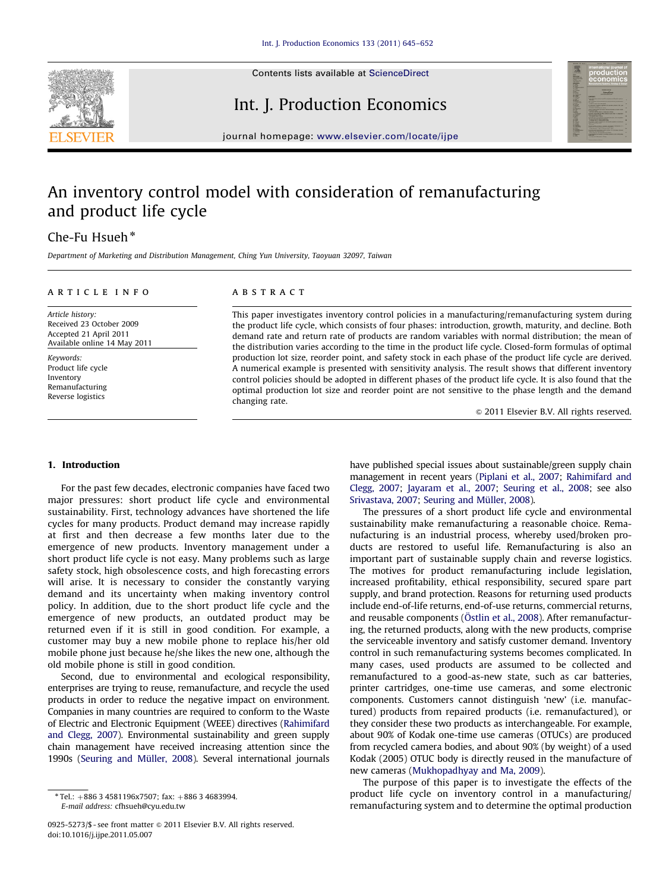

Contents lists available at ScienceDirect

## Int. J. Production Economics



journal homepage: <www.elsevier.com/locate/ijpe>

# An inventory control model with consideration of remanufacturing and product life cycle

## Che-Fu Hsueh $*$

Department of Marketing and Distribution Management, Ching Yun University, Taoyuan 32097, Taiwan

#### article info

Article history: Received 23 October 2009 Accepted 21 April 2011 Available online 14 May 2011

Keywords: Product life cycle Inventory Remanufacturing Reverse logistics

### ABSTRACT

This paper investigates inventory control policies in a manufacturing/remanufacturing system during the product life cycle, which consists of four phases: introduction, growth, maturity, and decline. Both demand rate and return rate of products are random variables with normal distribution; the mean of the distribution varies according to the time in the product life cycle. Closed-form formulas of optimal production lot size, reorder point, and safety stock in each phase of the product life cycle are derived. A numerical example is presented with sensitivity analysis. The result shows that different inventory control policies should be adopted in different phases of the product life cycle. It is also found that the optimal production lot size and reorder point are not sensitive to the phase length and the demand changing rate.

 $@$  2011 Elsevier B.V. All rights reserved.

#### 1. Introduction

For the past few decades, electronic companies have faced two major pressures: short product life cycle and environmental sustainability. First, technology advances have shortened the life cycles for many products. Product demand may increase rapidly at first and then decrease a few months later due to the emergence of new products. Inventory management under a short product life cycle is not easy. Many problems such as large safety stock, high obsolescence costs, and high forecasting errors will arise. It is necessary to consider the constantly varying demand and its uncertainty when making inventory control policy. In addition, due to the short product life cycle and the emergence of new products, an outdated product may be returned even if it is still in good condition. For example, a customer may buy a new mobile phone to replace his/her old mobile phone just because he/she likes the new one, although the old mobile phone is still in good condition.

Second, due to environmental and ecological responsibility, enterprises are trying to reuse, remanufacture, and recycle the used products in order to reduce the negative impact on environment. Companies in many countries are required to conform to the Waste of Electric and Electronic Equipment (WEEE) directives ([Rahimifard](#page--1-0) [and Clegg, 2007\)](#page--1-0). Environmental sustainability and green supply chain management have received increasing attention since the 1990s (Seuring and Müller, 2008). Several international journals have published special issues about sustainable/green supply chain management in recent years ([Piplani et al., 2007](#page--1-0); [Rahimifard and](#page--1-0) [Clegg, 2007;](#page--1-0) [Jayaram et al., 2007](#page--1-0); [Seuring et al., 2008;](#page--1-0) see also [Srivastava, 2007;](#page--1-0) Seuring and Müller, 2008).

The pressures of a short product life cycle and environmental sustainability make remanufacturing a reasonable choice. Remanufacturing is an industrial process, whereby used/broken products are restored to useful life. Remanufacturing is also an important part of sustainable supply chain and reverse logistics. The motives for product remanufacturing include legislation, increased profitability, ethical responsibility, secured spare part supply, and brand protection. Reasons for returning used products include end-of-life returns, end-of-use returns, commercial returns, and reusable components (Ö[stlin et al., 2008\)](#page--1-0). After remanufacturing, the returned products, along with the new products, comprise the serviceable inventory and satisfy customer demand. Inventory control in such remanufacturing systems becomes complicated. In many cases, used products are assumed to be collected and remanufactured to a good-as-new state, such as car batteries, printer cartridges, one-time use cameras, and some electronic components. Customers cannot distinguish 'new' (i.e. manufactured) products from repaired products (i.e. remanufactured), or they consider these two products as interchangeable. For example, about 90% of Kodak one-time use cameras (OTUCs) are produced from recycled camera bodies, and about 90% (by weight) of a used Kodak (2005) OTUC body is directly reused in the manufacture of new cameras [\(Mukhopadhyay and Ma, 2009\)](#page--1-0).

The purpose of this paper is to investigate the effects of the product life cycle on inventory control in a manufacturing/ remanufacturing system and to determine the optimal production

 $*$  Tel.:  $+88634581196x7507$ ; fax:  $+88634683994$ . E-mail address: [cfhsueh@cyu.edu.tw](mailto:cfhsueh@cyu.edu.tw)

<sup>0925-5273/\$ -</sup> see front matter @ 2011 Elsevier B.V. All rights reserved. doi:[10.1016/j.ijpe.2011.05.007](dx.doi.org/10.1016/j.ijpe.2011.05.007)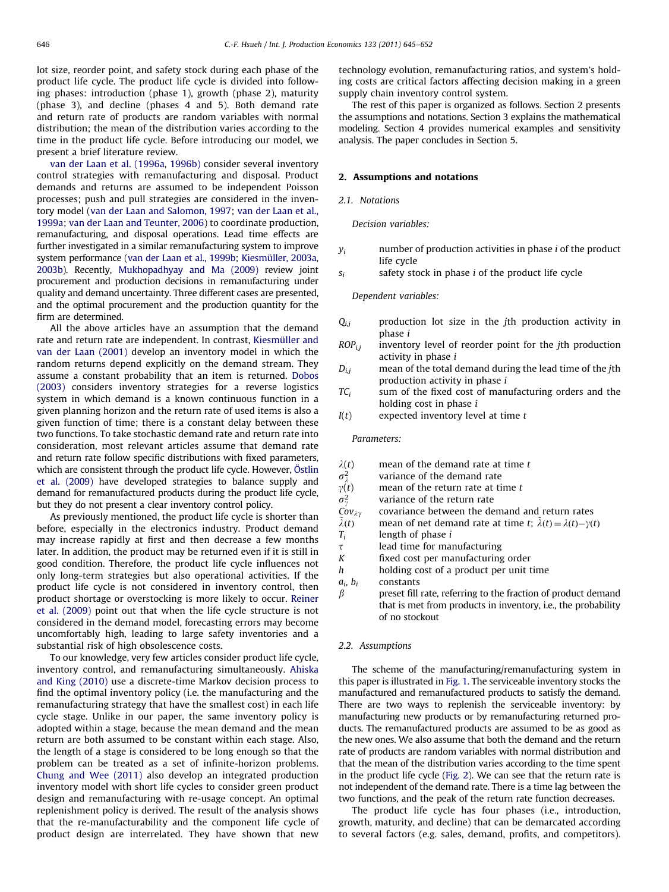lot size, reorder point, and safety stock during each phase of the product life cycle. The product life cycle is divided into following phases: introduction (phase 1), growth (phase 2), maturity (phase 3), and decline (phases 4 and 5). Both demand rate and return rate of products are random variables with normal distribution; the mean of the distribution varies according to the time in the product life cycle. Before introducing our model, we present a brief literature review.

[van der Laan et al. \(1996a](#page--1-0), [1996b\)](#page--1-0) consider several inventory control strategies with remanufacturing and disposal. Product demands and returns are assumed to be independent Poisson processes; push and pull strategies are considered in the inventory model ([van der Laan and Salomon, 1997;](#page--1-0) [van der Laan et al.,](#page--1-0) [1999a](#page--1-0); [van der Laan and Teunter, 2006\)](#page--1-0) to coordinate production, remanufacturing, and disposal operations. Lead time effects are further investigated in a similar remanufacturing system to improve system performance ([van der Laan et al., 1999b;](#page--1-0) Kiesmüller, 2003a, [2003b\)](#page--1-0). Recently, [Mukhopadhyay and Ma \(2009\)](#page--1-0) review joint procurement and production decisions in remanufacturing under quality and demand uncertainty. Three different cases are presented, and the optimal procurement and the production quantity for the firm are determined.

All the above articles have an assumption that the demand rate and return rate are independent. In contrast, Kiesmüller and [van der Laan \(2001\)](#page--1-0) develop an inventory model in which the random returns depend explicitly on the demand stream. They assume a constant probability that an item is returned. [Dobos](#page--1-0) [\(2003\)](#page--1-0) considers inventory strategies for a reverse logistics system in which demand is a known continuous function in a given planning horizon and the return rate of used items is also a given function of time; there is a constant delay between these two functions. To take stochastic demand rate and return rate into consideration, most relevant articles assume that demand rate and return rate follow specific distributions with fixed parameters, which are consistent through the product life cycle. However, Ö[stlin](#page--1-0) [et al. \(2009\)](#page--1-0) have developed strategies to balance supply and demand for remanufactured products during the product life cycle, but they do not present a clear inventory control policy.

As previously mentioned, the product life cycle is shorter than before, especially in the electronics industry. Product demand may increase rapidly at first and then decrease a few months later. In addition, the product may be returned even if it is still in good condition. Therefore, the product life cycle influences not only long-term strategies but also operational activities. If the product life cycle is not considered in inventory control, then product shortage or overstocking is more likely to occur. [Reiner](#page--1-0) [et al. \(2009\)](#page--1-0) point out that when the life cycle structure is not considered in the demand model, forecasting errors may become uncomfortably high, leading to large safety inventories and a substantial risk of high obsolescence costs.

To our knowledge, very few articles consider product life cycle, inventory control, and remanufacturing simultaneously. [Ahiska](#page--1-0) [and King \(2010\)](#page--1-0) use a discrete-time Markov decision process to find the optimal inventory policy (i.e. the manufacturing and the remanufacturing strategy that have the smallest cost) in each life cycle stage. Unlike in our paper, the same inventory policy is adopted within a stage, because the mean demand and the mean return are both assumed to be constant within each stage. Also, the length of a stage is considered to be long enough so that the problem can be treated as a set of infinite-horizon problems. [Chung and Wee \(2011\)](#page--1-0) also develop an integrated production inventory model with short life cycles to consider green product design and remanufacturing with re-usage concept. An optimal replenishment policy is derived. The result of the analysis shows that the re-manufacturability and the component life cycle of product design are interrelated. They have shown that new technology evolution, remanufacturing ratios, and system's holding costs are critical factors affecting decision making in a green supply chain inventory control system.

The rest of this paper is organized as follows. Section 2 presents the assumptions and notations. Section 3 explains the mathematical modeling. Section 4 provides numerical examples and sensitivity analysis. The paper concludes in Section 5.

#### 2. Assumptions and notations

#### 2.1 Notations

#### Decision variables:

- $v_i$  number of production activities in phase *i* of the product life cycle
- $s_i$  safety stock in phase *i* of the product life cycle

Dependent variables:

- $Q_{i,j}$  production lot size in the jth production activity in phase i
- $ROP_{i,j}$  inventory level of reorder point for the *j*th production activity in phase i
- $D_{i,j}$  mean of the total demand during the lead time of the jth production activity in phase i
- $TC_i$  sum of the fixed cost of manufacturing orders and the holding cost in phase  $i$
- $I(t)$  expected inventory level at time  $t$

Parameters:

| $\lambda(t)$     | mean of the demand rate at time t |
|------------------|-----------------------------------|
| $\sigma_{1}^{2}$ | variance of the demand rate       |

- $\sigma_{\lambda}^2$  variance of the demand rate<br> $\gamma(t)$  mean of the return rate at ti mean of the return rate at time  $t$
- $\sigma^2_{\gamma}$ Cov<sub> $\lambda \gamma$ </sub>
- variance of the return rate<br>covariance between the demand and return rates
- Cov<sub> $\lambda \gamma$ </sub> covariance between the demand and return rates  $\tilde{\lambda}(t)$  mean of net demand rate at time t;  $\tilde{\lambda}(t) = \lambda(t) \gamma(t)$
- $T_i$  length of phase *i*
- $\tau$  lead time for manufacturing
- $K$  fixed cost per manufacturing order
- h holding cost of a product per unit time
- $a_i$ ,  $b_i$  constants
- $\beta$  preset fill rate, referring to the fraction of product demand that is met from products in inventory, i.e., the probability of no stockout

#### 2.2. Assumptions

The scheme of the manufacturing/remanufacturing system in this paper is illustrated in [Fig. 1](#page--1-0). The serviceable inventory stocks the manufactured and remanufactured products to satisfy the demand. There are two ways to replenish the serviceable inventory: by manufacturing new products or by remanufacturing returned products. The remanufactured products are assumed to be as good as the new ones. We also assume that both the demand and the return rate of products are random variables with normal distribution and that the mean of the distribution varies according to the time spent in the product life cycle [\(Fig. 2](#page--1-0)). We can see that the return rate is not independent of the demand rate. There is a time lag between the two functions, and the peak of the return rate function decreases.

The product life cycle has four phases (i.e., introduction, growth, maturity, and decline) that can be demarcated according to several factors (e.g. sales, demand, profits, and competitors).